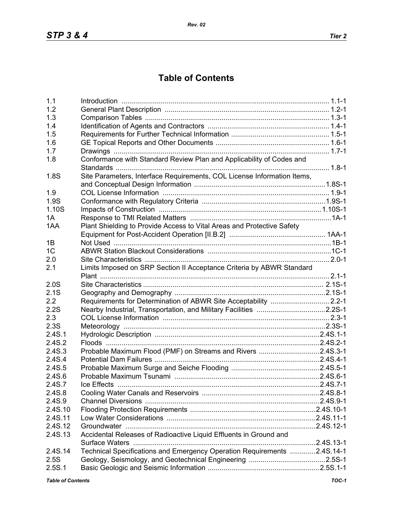## **Table of Contents**

| 1.1            |                                                                         |  |
|----------------|-------------------------------------------------------------------------|--|
| 1.2            |                                                                         |  |
| 1.3            |                                                                         |  |
| 1.4            |                                                                         |  |
| 1.5            |                                                                         |  |
| 1.6            |                                                                         |  |
| 1.7            |                                                                         |  |
| 1.8            | Conformance with Standard Review Plan and Applicability of Codes and    |  |
|                |                                                                         |  |
| 1.8S           | Site Parameters, Interface Requirements, COL License Information Items, |  |
|                |                                                                         |  |
| 1.9            |                                                                         |  |
| 1.9S           |                                                                         |  |
| 1.10S          |                                                                         |  |
| 1A             |                                                                         |  |
| 1AA            | Plant Shielding to Provide Access to Vital Areas and Protective Safety  |  |
|                |                                                                         |  |
| 1B             |                                                                         |  |
| 1 <sup>C</sup> |                                                                         |  |
|                |                                                                         |  |
| 2.0            |                                                                         |  |
| 2.1            | Limits Imposed on SRP Section II Acceptance Criteria by ABWR Standard   |  |
|                |                                                                         |  |
| 2.0S           |                                                                         |  |
| 2.1S           |                                                                         |  |
| 2.2            | Requirements for Determination of ABWR Site Acceptability  2.2-1        |  |
| 2.2S           | Nearby Industrial, Transportation, and Military Facilities 2.2S-1       |  |
| 2.3            |                                                                         |  |
| 2.3S           |                                                                         |  |
| 2.4S.1         |                                                                         |  |
| 2.4S.2         |                                                                         |  |
| 2.4S.3         | Probable Maximum Flood (PMF) on Streams and Rivers 2.4S.3-1             |  |
| 2.4S.4         |                                                                         |  |
| 2.4S.5         |                                                                         |  |
| 2.4S.6         |                                                                         |  |
| 2.4S.7         |                                                                         |  |
| 2.4S.8         |                                                                         |  |
| 2.4S.9         |                                                                         |  |
| 2.4S.10        |                                                                         |  |
| 2.4S.11        |                                                                         |  |
| 2.4S.12        |                                                                         |  |
| 2.4S.13        | Accidental Releases of Radioactive Liquid Effluents in Ground and       |  |
|                |                                                                         |  |
| 2.4S.14        | Technical Specifications and Emergency Operation Requirements 2.4S.14-1 |  |
| 2.5S           |                                                                         |  |
| 2.5S.1         |                                                                         |  |
|                |                                                                         |  |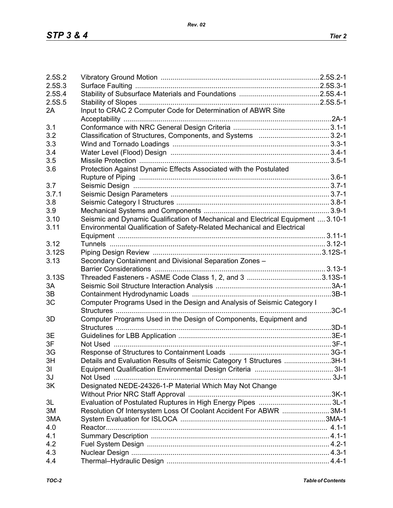| 2.5S.2         |                                                                                  |  |
|----------------|----------------------------------------------------------------------------------|--|
| 2.5S.3         |                                                                                  |  |
| 2.5S.4         |                                                                                  |  |
| 2.5S.5         |                                                                                  |  |
| 2A             | Input to CRAC 2 Computer Code for Determination of ABWR Site                     |  |
|                |                                                                                  |  |
| 3.1            |                                                                                  |  |
| 3.2            |                                                                                  |  |
| 3.3            |                                                                                  |  |
| 3.4            |                                                                                  |  |
| 3.5            |                                                                                  |  |
| 3.6            | Protection Against Dynamic Effects Associated with the Postulated                |  |
|                |                                                                                  |  |
| 3.7            |                                                                                  |  |
| 3.7.1          |                                                                                  |  |
|                |                                                                                  |  |
| 3.8            |                                                                                  |  |
| 3.9            |                                                                                  |  |
| 3.10           | Seismic and Dynamic Qualification of Mechanical and Electrical Equipment  3.10-1 |  |
| 3.11           | Environmental Qualification of Safety-Related Mechanical and Electrical          |  |
|                |                                                                                  |  |
| 3.12           |                                                                                  |  |
| 3.12S          |                                                                                  |  |
| 3.13           | Secondary Containment and Divisional Separation Zones -                          |  |
|                |                                                                                  |  |
| 3.13S          |                                                                                  |  |
| 3A             |                                                                                  |  |
| 3B             |                                                                                  |  |
| 3C             | Computer Programs Used in the Design and Analysis of Seismic Category I          |  |
|                |                                                                                  |  |
| 3D             | Computer Programs Used in the Design of Components, Equipment and                |  |
|                |                                                                                  |  |
| 3E             |                                                                                  |  |
| 3F             |                                                                                  |  |
| 3G             |                                                                                  |  |
| 3H             | Details and Evaluation Results of Seismic Category 1 Structures 3H-1             |  |
| 3 <sub>l</sub> |                                                                                  |  |
| 3J             |                                                                                  |  |
| 3K             | Designated NEDE-24326-1-P Material Which May Not Change                          |  |
|                |                                                                                  |  |
| 3L             |                                                                                  |  |
| 3M             | Resolution Of Intersystem Loss Of Coolant Accident For ABWR 3M-1                 |  |
| 3MA            |                                                                                  |  |
| 4.0            |                                                                                  |  |
| 4.1            |                                                                                  |  |
| 4.2            |                                                                                  |  |
| 4.3            |                                                                                  |  |
| 4.4            |                                                                                  |  |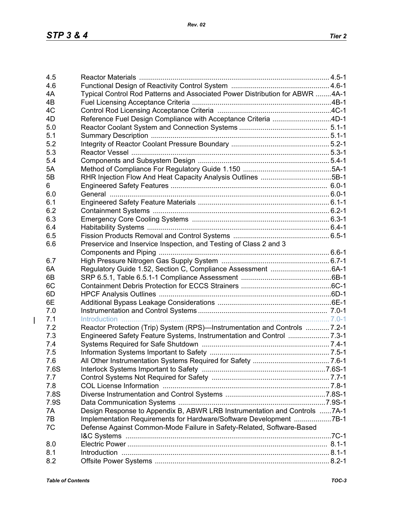| 4.5  |                                                                                                      |  |
|------|------------------------------------------------------------------------------------------------------|--|
| 4.6  |                                                                                                      |  |
| 4A   | Typical Control Rod Patterns and Associated Power Distribution for ABWR 4A-1                         |  |
| 4B   |                                                                                                      |  |
| 4C   |                                                                                                      |  |
| 4D   | Reference Fuel Design Compliance with Acceptance Criteria 4D-1                                       |  |
| 5.0  |                                                                                                      |  |
| 5.1  |                                                                                                      |  |
| 5.2  |                                                                                                      |  |
| 5.3  |                                                                                                      |  |
| 5.4  |                                                                                                      |  |
| 5A   |                                                                                                      |  |
| 5B   | RHR Injection Flow And Heat Capacity Analysis Outlines 5B-1                                          |  |
| 6    |                                                                                                      |  |
| 6.0  |                                                                                                      |  |
| 6.1  |                                                                                                      |  |
| 6.2  |                                                                                                      |  |
| 6.3  |                                                                                                      |  |
| 6.4  |                                                                                                      |  |
| 6.5  |                                                                                                      |  |
| 6.6  | Preservice and Inservice Inspection, and Testing of Class 2 and 3                                    |  |
|      |                                                                                                      |  |
| 6.7  |                                                                                                      |  |
| 6A   |                                                                                                      |  |
| 6B   |                                                                                                      |  |
| 6C   |                                                                                                      |  |
| 6D   |                                                                                                      |  |
| 6E   |                                                                                                      |  |
| 7.0  |                                                                                                      |  |
| 7.1  | Introduction                                                                                         |  |
| 7.2  | Reactor Protection (Trip) System (RPS)—Instrumentation and Controls  7.2-1                           |  |
| 7.3  |                                                                                                      |  |
| 7.4  |                                                                                                      |  |
| 7.5  |                                                                                                      |  |
| 7.6  |                                                                                                      |  |
| 7.6S |                                                                                                      |  |
| 7.7  |                                                                                                      |  |
| 7.8  |                                                                                                      |  |
| 7.8S |                                                                                                      |  |
| 7.9S |                                                                                                      |  |
| 7A   | Design Response to Appendix B, ABWR LRB Instrumentation and Controls 7A-1                            |  |
| 7B   | Implementation Requirements for Hardware/Software Development 7B-1                                   |  |
| 7C   | Defense Against Common-Mode Failure in Safety-Related, Software-Based                                |  |
|      |                                                                                                      |  |
| 8.0  |                                                                                                      |  |
| 8.1  | 1-1-1. B.1-1. B.1-1. B.1-1. B.1-1. B.1-1. B.1-1. B.1-1. B.1-1. B.1-1. B.1-1. B.1-1. B.1-1. B.1-1. B. |  |
| 8.2  |                                                                                                      |  |

 $\overline{1}$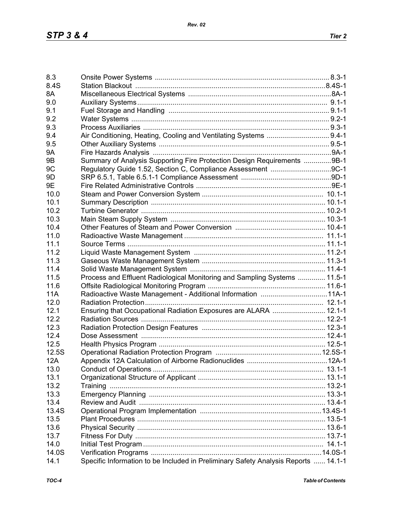| 8.3        |                                                                                    |  |
|------------|------------------------------------------------------------------------------------|--|
| 8.4S       |                                                                                    |  |
| 8A         |                                                                                    |  |
| 9.0        |                                                                                    |  |
| 9.1        |                                                                                    |  |
| 9.2        |                                                                                    |  |
|            |                                                                                    |  |
| 9.3        |                                                                                    |  |
| 9.4        |                                                                                    |  |
| 9.5        |                                                                                    |  |
| <b>9A</b>  |                                                                                    |  |
| 9B         | Summary of Analysis Supporting Fire Protection Design Requirements 9B-1            |  |
| 9C         | Regulatory Guide 1.52, Section C, Compliance Assessment 9C-1                       |  |
| 9D         |                                                                                    |  |
| 9E         |                                                                                    |  |
| 10.0       |                                                                                    |  |
| 10.1       |                                                                                    |  |
| 10.2       |                                                                                    |  |
| 10.3       |                                                                                    |  |
| 10.4       |                                                                                    |  |
| 11.0       |                                                                                    |  |
| 11.1       |                                                                                    |  |
| 11.2       |                                                                                    |  |
| 11.3       |                                                                                    |  |
| 11.4       |                                                                                    |  |
| 11.5       | Process and Effluent Radiological Monitoring and Sampling Systems  11.5-1          |  |
| 11.6       |                                                                                    |  |
| <b>11A</b> | Radioactive Waste Management - Additional Information 11A-1                        |  |
| 12.0       |                                                                                    |  |
| 12.1       | Ensuring that Occupational Radiation Exposures are ALARA  12.1-1                   |  |
| 12.2       |                                                                                    |  |
| 12.3       |                                                                                    |  |
| 12.4       |                                                                                    |  |
| 12.5       |                                                                                    |  |
| 12.5S      |                                                                                    |  |
| 12A        |                                                                                    |  |
| 13.0       |                                                                                    |  |
| 13.1       |                                                                                    |  |
| 13.2       |                                                                                    |  |
| 13.3       |                                                                                    |  |
| 13.4       |                                                                                    |  |
| 13.4S      |                                                                                    |  |
| 13.5       |                                                                                    |  |
| 13.6       |                                                                                    |  |
| 13.7       |                                                                                    |  |
| 14.0       |                                                                                    |  |
| 14.0S      |                                                                                    |  |
| 14.1       | Specific Information to be Included in Preliminary Safety Analysis Reports  14.1-1 |  |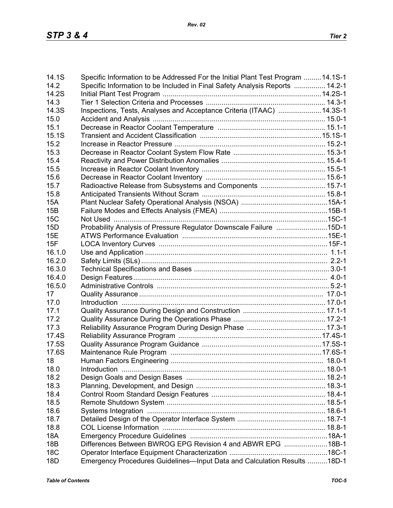| Specific Information to be Included in Final Safety Analysis Reports  14.2-1<br>14.2<br>14.2S<br>14.3<br>Inspections, Tests, Analyses and Acceptance Criteria (ITAAC)  14.3S-1<br>14.3S<br>15.0<br>15.1<br>15.1S<br>15.2<br>15.3<br>15.4<br>15.5<br>15.6<br>Radioactive Release from Subsystems and Components  15.7-1<br>15.7<br>15.8<br><b>15A</b><br>15B<br><b>15C</b><br>Probability Analysis of Pressure Regulator Downscale Failure 15D-1<br>15D<br>15E<br>15F<br>16.1.0<br>16.2.0<br>16.3.0<br>16.4.0<br>16.5.0<br>17<br>17.0<br>17.1<br>17.2<br>17.3<br>17.4S<br>17.5S<br>17.6S<br>18<br>18.0<br>Introduction<br>18.2<br>18.3<br>18.4<br>18.5<br>18.6<br>18.7<br>18.8<br><b>18A</b><br>Differences Between BWROG EPG Revision 4 and ABWR EPG 18B-1<br><b>18B</b><br><b>18C</b><br>Emergency Procedures Guidelines-Input Data and Calculation Results 18D-1<br>18D | 14.1S | Specific Information to be Addressed For the Initial Plant Test Program 14.1S-1 |  |
|---------------------------------------------------------------------------------------------------------------------------------------------------------------------------------------------------------------------------------------------------------------------------------------------------------------------------------------------------------------------------------------------------------------------------------------------------------------------------------------------------------------------------------------------------------------------------------------------------------------------------------------------------------------------------------------------------------------------------------------------------------------------------------------------------------------------------------------------------------------------------|-------|---------------------------------------------------------------------------------|--|
|                                                                                                                                                                                                                                                                                                                                                                                                                                                                                                                                                                                                                                                                                                                                                                                                                                                                           |       |                                                                                 |  |
|                                                                                                                                                                                                                                                                                                                                                                                                                                                                                                                                                                                                                                                                                                                                                                                                                                                                           |       |                                                                                 |  |
|                                                                                                                                                                                                                                                                                                                                                                                                                                                                                                                                                                                                                                                                                                                                                                                                                                                                           |       |                                                                                 |  |
|                                                                                                                                                                                                                                                                                                                                                                                                                                                                                                                                                                                                                                                                                                                                                                                                                                                                           |       |                                                                                 |  |
|                                                                                                                                                                                                                                                                                                                                                                                                                                                                                                                                                                                                                                                                                                                                                                                                                                                                           |       |                                                                                 |  |
|                                                                                                                                                                                                                                                                                                                                                                                                                                                                                                                                                                                                                                                                                                                                                                                                                                                                           |       |                                                                                 |  |
|                                                                                                                                                                                                                                                                                                                                                                                                                                                                                                                                                                                                                                                                                                                                                                                                                                                                           |       |                                                                                 |  |
|                                                                                                                                                                                                                                                                                                                                                                                                                                                                                                                                                                                                                                                                                                                                                                                                                                                                           |       |                                                                                 |  |
|                                                                                                                                                                                                                                                                                                                                                                                                                                                                                                                                                                                                                                                                                                                                                                                                                                                                           |       |                                                                                 |  |
|                                                                                                                                                                                                                                                                                                                                                                                                                                                                                                                                                                                                                                                                                                                                                                                                                                                                           |       |                                                                                 |  |
|                                                                                                                                                                                                                                                                                                                                                                                                                                                                                                                                                                                                                                                                                                                                                                                                                                                                           |       |                                                                                 |  |
|                                                                                                                                                                                                                                                                                                                                                                                                                                                                                                                                                                                                                                                                                                                                                                                                                                                                           |       |                                                                                 |  |
|                                                                                                                                                                                                                                                                                                                                                                                                                                                                                                                                                                                                                                                                                                                                                                                                                                                                           |       |                                                                                 |  |
|                                                                                                                                                                                                                                                                                                                                                                                                                                                                                                                                                                                                                                                                                                                                                                                                                                                                           |       |                                                                                 |  |
|                                                                                                                                                                                                                                                                                                                                                                                                                                                                                                                                                                                                                                                                                                                                                                                                                                                                           |       |                                                                                 |  |
|                                                                                                                                                                                                                                                                                                                                                                                                                                                                                                                                                                                                                                                                                                                                                                                                                                                                           |       |                                                                                 |  |
|                                                                                                                                                                                                                                                                                                                                                                                                                                                                                                                                                                                                                                                                                                                                                                                                                                                                           |       |                                                                                 |  |
|                                                                                                                                                                                                                                                                                                                                                                                                                                                                                                                                                                                                                                                                                                                                                                                                                                                                           |       |                                                                                 |  |
|                                                                                                                                                                                                                                                                                                                                                                                                                                                                                                                                                                                                                                                                                                                                                                                                                                                                           |       |                                                                                 |  |
|                                                                                                                                                                                                                                                                                                                                                                                                                                                                                                                                                                                                                                                                                                                                                                                                                                                                           |       |                                                                                 |  |
|                                                                                                                                                                                                                                                                                                                                                                                                                                                                                                                                                                                                                                                                                                                                                                                                                                                                           |       |                                                                                 |  |
|                                                                                                                                                                                                                                                                                                                                                                                                                                                                                                                                                                                                                                                                                                                                                                                                                                                                           |       |                                                                                 |  |
|                                                                                                                                                                                                                                                                                                                                                                                                                                                                                                                                                                                                                                                                                                                                                                                                                                                                           |       |                                                                                 |  |
|                                                                                                                                                                                                                                                                                                                                                                                                                                                                                                                                                                                                                                                                                                                                                                                                                                                                           |       |                                                                                 |  |
|                                                                                                                                                                                                                                                                                                                                                                                                                                                                                                                                                                                                                                                                                                                                                                                                                                                                           |       |                                                                                 |  |
|                                                                                                                                                                                                                                                                                                                                                                                                                                                                                                                                                                                                                                                                                                                                                                                                                                                                           |       |                                                                                 |  |
|                                                                                                                                                                                                                                                                                                                                                                                                                                                                                                                                                                                                                                                                                                                                                                                                                                                                           |       |                                                                                 |  |
|                                                                                                                                                                                                                                                                                                                                                                                                                                                                                                                                                                                                                                                                                                                                                                                                                                                                           |       |                                                                                 |  |
|                                                                                                                                                                                                                                                                                                                                                                                                                                                                                                                                                                                                                                                                                                                                                                                                                                                                           |       |                                                                                 |  |
|                                                                                                                                                                                                                                                                                                                                                                                                                                                                                                                                                                                                                                                                                                                                                                                                                                                                           |       |                                                                                 |  |
|                                                                                                                                                                                                                                                                                                                                                                                                                                                                                                                                                                                                                                                                                                                                                                                                                                                                           |       |                                                                                 |  |
|                                                                                                                                                                                                                                                                                                                                                                                                                                                                                                                                                                                                                                                                                                                                                                                                                                                                           |       |                                                                                 |  |
|                                                                                                                                                                                                                                                                                                                                                                                                                                                                                                                                                                                                                                                                                                                                                                                                                                                                           |       |                                                                                 |  |
|                                                                                                                                                                                                                                                                                                                                                                                                                                                                                                                                                                                                                                                                                                                                                                                                                                                                           |       |                                                                                 |  |
|                                                                                                                                                                                                                                                                                                                                                                                                                                                                                                                                                                                                                                                                                                                                                                                                                                                                           |       |                                                                                 |  |
|                                                                                                                                                                                                                                                                                                                                                                                                                                                                                                                                                                                                                                                                                                                                                                                                                                                                           |       |                                                                                 |  |
|                                                                                                                                                                                                                                                                                                                                                                                                                                                                                                                                                                                                                                                                                                                                                                                                                                                                           |       |                                                                                 |  |
|                                                                                                                                                                                                                                                                                                                                                                                                                                                                                                                                                                                                                                                                                                                                                                                                                                                                           |       |                                                                                 |  |
|                                                                                                                                                                                                                                                                                                                                                                                                                                                                                                                                                                                                                                                                                                                                                                                                                                                                           |       |                                                                                 |  |
|                                                                                                                                                                                                                                                                                                                                                                                                                                                                                                                                                                                                                                                                                                                                                                                                                                                                           |       |                                                                                 |  |
|                                                                                                                                                                                                                                                                                                                                                                                                                                                                                                                                                                                                                                                                                                                                                                                                                                                                           |       |                                                                                 |  |
|                                                                                                                                                                                                                                                                                                                                                                                                                                                                                                                                                                                                                                                                                                                                                                                                                                                                           |       |                                                                                 |  |
|                                                                                                                                                                                                                                                                                                                                                                                                                                                                                                                                                                                                                                                                                                                                                                                                                                                                           |       |                                                                                 |  |
|                                                                                                                                                                                                                                                                                                                                                                                                                                                                                                                                                                                                                                                                                                                                                                                                                                                                           |       |                                                                                 |  |
|                                                                                                                                                                                                                                                                                                                                                                                                                                                                                                                                                                                                                                                                                                                                                                                                                                                                           |       |                                                                                 |  |
|                                                                                                                                                                                                                                                                                                                                                                                                                                                                                                                                                                                                                                                                                                                                                                                                                                                                           |       |                                                                                 |  |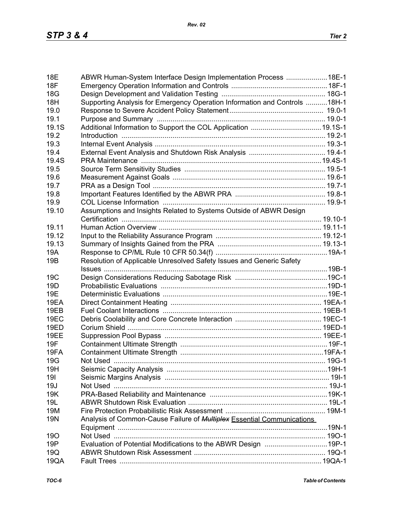| <b>18E</b>      | ABWR Human-System Interface Design Implementation Process 18E-1               |  |
|-----------------|-------------------------------------------------------------------------------|--|
| <b>18F</b>      |                                                                               |  |
| 18G             |                                                                               |  |
| 18H             | Supporting Analysis for Emergency Operation Information and Controls 18H-1    |  |
| 19.0            |                                                                               |  |
| 19.1            |                                                                               |  |
| 19.1S           |                                                                               |  |
| 19.2            |                                                                               |  |
| 19.3            |                                                                               |  |
| 19.4            |                                                                               |  |
| 19.4S           |                                                                               |  |
| 19.5            |                                                                               |  |
| 19.6            |                                                                               |  |
| 19.7            |                                                                               |  |
| 19.8            |                                                                               |  |
| 19.9            |                                                                               |  |
| 19.10           | Assumptions and Insights Related to Systems Outside of ABWR Design            |  |
|                 |                                                                               |  |
| 19.11           |                                                                               |  |
| 19.12           |                                                                               |  |
| 19.13           |                                                                               |  |
| 19A             |                                                                               |  |
|                 |                                                                               |  |
| 19B             | Resolution of Applicable Unresolved Safety Issues and Generic Safety          |  |
| 19 <sub>C</sub> |                                                                               |  |
| 19 <sub>D</sub> |                                                                               |  |
| <b>19E</b>      |                                                                               |  |
|                 |                                                                               |  |
| 19EA            |                                                                               |  |
| 19EB            |                                                                               |  |
| 19EC            |                                                                               |  |
| <b>19ED</b>     |                                                                               |  |
| 19EE            |                                                                               |  |
| 19F             |                                                                               |  |
| 19FA            |                                                                               |  |
| 19G             |                                                                               |  |
| 19H             |                                                                               |  |
| 191             |                                                                               |  |
| 19J             |                                                                               |  |
| 19K             |                                                                               |  |
| 19L             |                                                                               |  |
| 19M             |                                                                               |  |
| <b>19N</b>      | Analysis of Common-Cause Failure of <b>Multiplex Essential Communications</b> |  |
|                 |                                                                               |  |
| <b>190</b>      |                                                                               |  |
| 19P             | Evaluation of Potential Modifications to the ABWR Design 19P-1                |  |
| 19Q             |                                                                               |  |
| 19QA            |                                                                               |  |